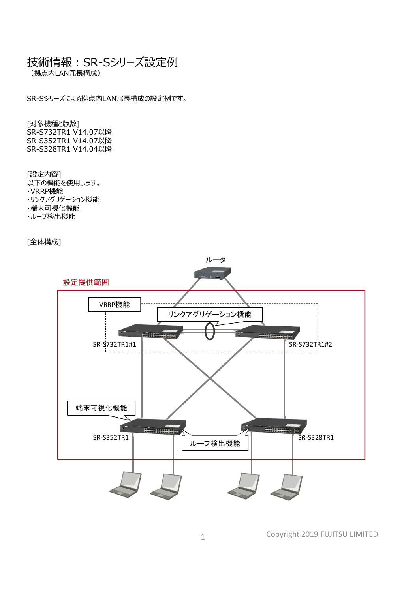## 技術情報: SR-Sシリーズ設定例

(拠点内LAN冗⻑構成)

SR-Sシリーズによる拠点内LAN冗⻑構成の設定例です。

[対象機種と版数] SR-S732TR1 V14.07以降 SR-S352TR1 V14.07以降 SR-S328TR1 V14.04以降

[設定内容] 以下の機能を使⽤します。 ・VRRP機能 ・リンクアグリゲーション機能 ・端末可視化機能 ・ループ検出機能

[全体構成]



Copyright 2019 FUJITSU LIMITED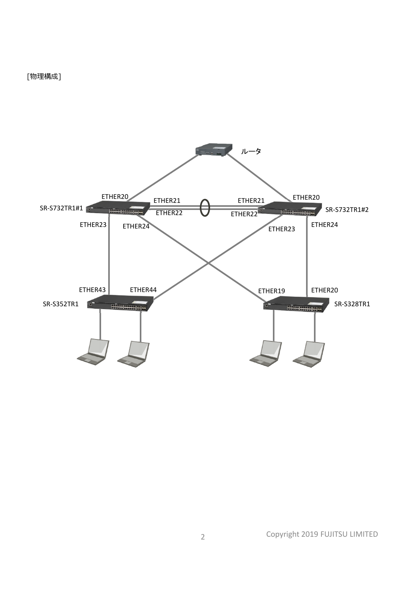

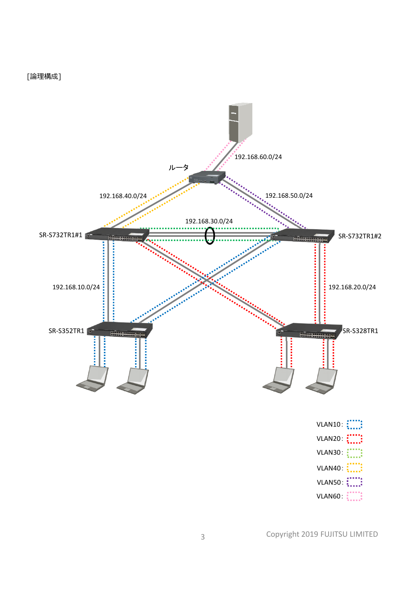[論理構成]



Copyright 2019 FUJITSU LIMITED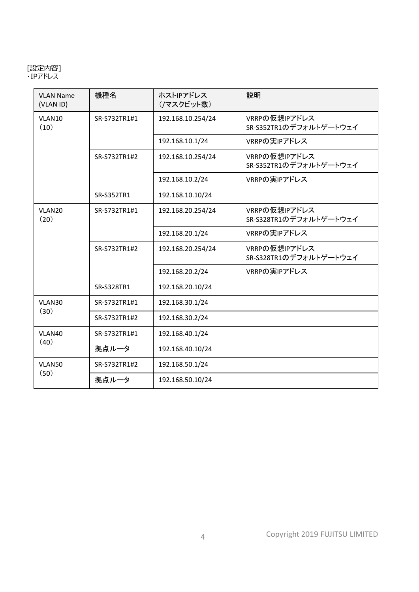## [設定内容] ・IPアドレス

| <b>VLAN Name</b><br>(VLAN ID) | 機種名          | ホストIPアドレス<br>(/マスクビット数) | 説明                                      |
|-------------------------------|--------------|-------------------------|-----------------------------------------|
| VLAN10<br>(10)                | SR-S732TR1#1 | 192.168.10.254/24       | VRRPの仮想IPアドレス<br>SR-S352TR1のデフォルトゲートウェイ |
|                               |              | 192.168.10.1/24         | VRRPの実IPアドレス                            |
|                               | SR-S732TR1#2 | 192.168.10.254/24       | VRRPの仮想IPアドレス<br>SR-S352TR1のデフォルトゲートウェイ |
|                               |              | 192.168.10.2/24         | VRRPの実IPアドレス                            |
|                               | SR-S352TR1   | 192.168.10.10/24        |                                         |
| VLAN20<br>(20)                | SR-S732TR1#1 | 192.168.20.254/24       | VRRPの仮想IPアドレス<br>SR-S328TR1のデフォルトゲートウェイ |
|                               |              | 192.168.20.1/24         | VRRPの実IPアドレス                            |
|                               | SR-S732TR1#2 | 192.168.20.254/24       | VRRPの仮想IPアドレス<br>SR-S328TR1のデフォルトゲートウェイ |
|                               |              | 192.168.20.2/24         | VRRPの実IPアドレス                            |
|                               | SR-S328TR1   | 192.168.20.10/24        |                                         |
| VLAN30                        | SR-S732TR1#1 | 192.168.30.1/24         |                                         |
| (30)                          | SR-S732TR1#2 | 192.168.30.2/24         |                                         |
| VLAN40                        | SR-S732TR1#1 | 192.168.40.1/24         |                                         |
| (40)                          | 拠点ルータ        | 192.168.40.10/24        |                                         |
| VLAN50                        | SR-S732TR1#2 | 192.168.50.1/24         |                                         |
| (50)                          | 拠点ルータ        | 192.168.50.10/24        |                                         |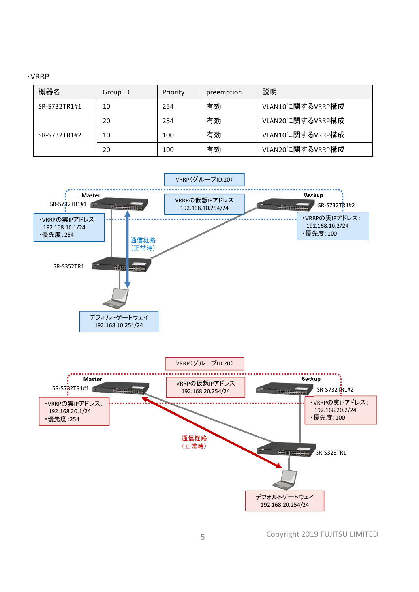|--|--|

| 機器名          | Group ID | Priority | preemption | 説明               |
|--------------|----------|----------|------------|------------------|
| SR-S732TR1#1 | 10       | 254      | 有効         | VLAN10に関するVRRP構成 |
|              | 20       | 254      | 有効         | VLAN20に関するVRRP構成 |
| SR-S732TR1#2 | 10       | 100      | 有効         | VLAN10に関するVRRP構成 |
|              | 20       | 100      | 有効         | VLAN20に関するVRRP構成 |



Copyright 2019 FUJITSU LIMITED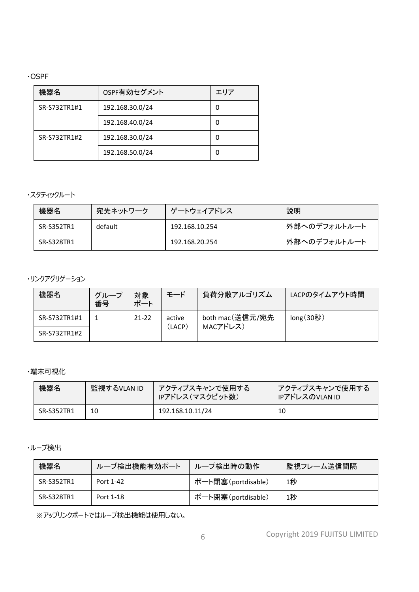・OSPF

| 機器名          | OSPF有効セグメント     | エリア |
|--------------|-----------------|-----|
| SR-S732TR1#1 | 192.168.30.0/24 | 0   |
|              | 192.168.40.0/24 | o   |
| SR-S732TR1#2 | 192.168.30.0/24 | 0   |
|              | 192.168.50.0/24 | ი   |

## ・スタティックルート

| 機器名        | 宛先ネットワーク | ゲートウェイアドレス     | 説明           |
|------------|----------|----------------|--------------|
| SR-S352TR1 | default  | 192.168.10.254 | 外部へのデフォルトルート |
| SR-S328TR1 |          | 192.168.20.254 | 外部へのデフォルトルート |

・リンクアグリゲーション

| 機器名          | グループ<br>番号 | 対象<br>ポート | モード    | 負荷分散アルゴリズム      | LACPのタイムアウト時間 |
|--------------|------------|-----------|--------|-----------------|---------------|
| SR-S732TR1#1 |            | $21 - 22$ | active | both mac(送信元/宛先 | long(30)      |
| SR-S732TR1#2 |            |           | (LACP) | MACアドレス)        |               |

・端末可視化

| 機器名        | 監視するVLAN ID | アクティブスキャンで使用する<br>IPアドレス(マスクビット数) | │ アクティブスキャンで使用する<br>IPアドレスのVLAN ID |
|------------|-------------|-----------------------------------|------------------------------------|
| SR-S352TR1 | 10          | 192.168.10.11/24                  | 10                                 |

・ループ検出

| 機器名        | ループ検出機能有効ポート | ループ検出時の動作          | 監視フレーム送信間隔 |
|------------|--------------|--------------------|------------|
| SR-S352TR1 | Port 1-42    | ポート閉塞(portdisable) | 1秒         |
| SR-S328TR1 | Port 1-18    | ポート閉塞(portdisable) | 1秒         |

※アップリンクポートではループ検出機能は使用しない。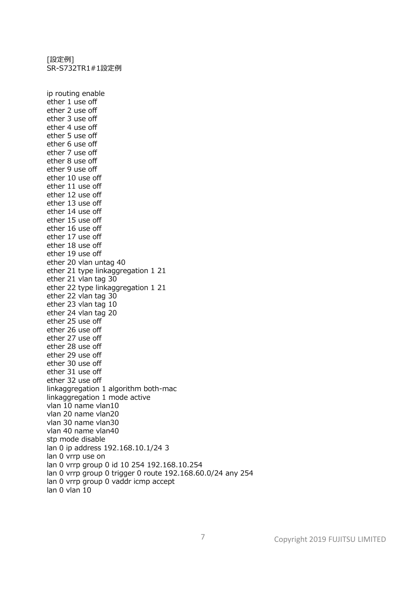[設定例] SR-S732TR1#1設定例

ip routing enable ether 1 use off ether 2 use off ether 3 use off ether 4 use off ether 5 use off ether 6 use off ether 7 use off ether 8 use off ether 9 use off ether 10 use off ether 11 use off ether 12 use off ether 13 use off ether 14 use off ether 15 use off ether 16 use off ether 17 use off ether 18 use off ether 19 use off ether 20 vlan untag 40 ether 21 type linkaggregation 1 21 ether 21 vlan tag 30 ether 22 type linkaggregation 1 21 ether 22 vlan tag 30 ether 23 vlan tag 10 ether 24 vlan tag 20 ether 25 use off ether 26 use off ether 27 use off ether 28 use off ether 29 use off ether 30 use off ether 31 use off ether 32 use off linkaggregation 1 algorithm both-mac linkaggregation 1 mode active vlan 10 name vlan10 vlan 20 name vlan20 vlan 30 name vlan30 vlan 40 name vlan40 stp mode disable lan 0 ip address 192.168.10.1/24 3 lan 0 vrrp use on lan 0 vrrp group 0 id 10 254 192.168.10.254 lan 0 vrrp group 0 trigger 0 route 192.168.60.0/24 any 254 lan 0 vrrp group 0 vaddr icmp accept  $lan 0 vlan 10$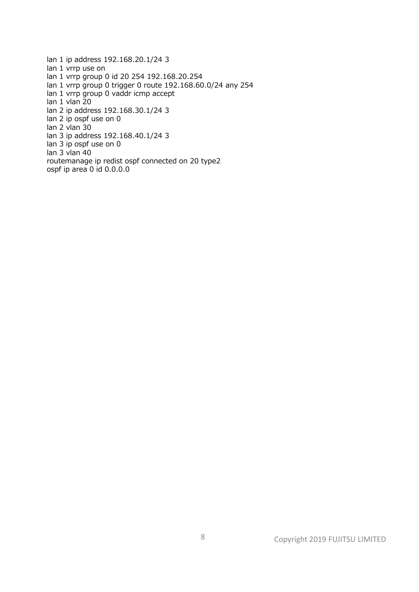lan 1 ip address 192.168.20.1/24 3 lan 1 vrrp use on lan 1 vrrp group 0 id 20 254 192.168.20.254 lan 1 vrrp group 0 trigger 0 route 192.168.60.0/24 any 254 lan 1 vrrp group 0 vaddr icmp accept lan 1 vlan 20 lan 2 ip address 192.168.30.1/24 3 lan 2 ip ospf use on 0 lan 2 vlan 30 lan 3 ip address 192.168.40.1/24 3 lan 3 ip ospf use on 0 lan 3 vlan 40 routemanage ip redist ospf connected on 20 type2 ospf ip area 0 id 0.0.0.0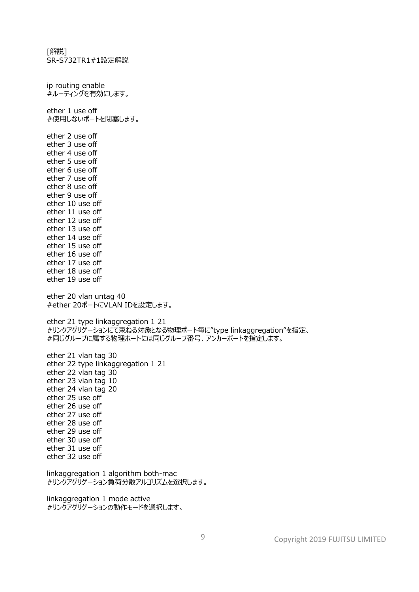[解説] SR-S732TR1#1設定解説 ip routing enable #ルーティングを有効にします。 ether 1 use off #使用しないポートを閉塞します。 ether 2 use off ether 3 use off ether 4 use off ether 5 use off ether 6 use off ether 7 use off ether 8 use off ether 9 use off ether 10 use off ether 11 use off ether 12 use off ether 13 use off ether 14 use off ether 15 use off ether 16 use off ether 17 use off ether 18 use off ether 19 use off ether 20 vlan untag 40 #ether 20ポートにVLAN IDを設定します。 ether 21 type linkaggregation 1 21 #リンクアグリゲーションにて束ねる対象となる物理ポート毎に"type linkaggregation"を指定、 #同じグループに属する物理ポートには同じグループ番号、アンカーポートを指定します。 ether 21 vlan tag 30 ether 22 type linkaggregation 1 21 ether 22 vlan tag 30 ether 23 vlan tag 10 ether 24 vlan tag 20 ether 25 use off ether 26 use off ether 27 use off ether 28 use off ether 29 use off ether 30 use off ether 31 use off ether 32 use off linkaggregation 1 algorithm both-mac #リンクアグリゲーション負荷分散アルゴリズムを選択します。 linkaggregation 1 mode active #リンクアグリゲーションの動作モードを選択します。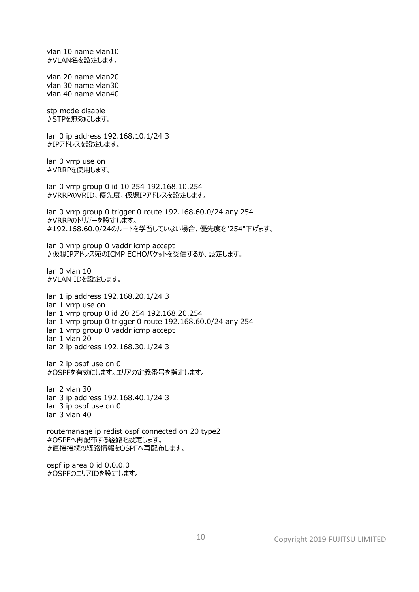vlan 10 name vlan10 #VLAN名を設定します。 vlan 20 name vlan20 vlan 30 name vlan30 vlan 40 name vlan40 stp mode disable #STPを無効にします。 lan 0 ip address 192.168.10.1/24 3 #IPアドレスを設定します。 lan 0 vrrp use on #VRRPを使用します。 lan 0 vrrp group 0 id 10 254 192.168.10.254 #VRRPのVRID、優先度、仮想IPアドレスを設定します。 lan 0 vrrp group 0 trigger 0 route 192.168.60.0/24 any 254 #VRRPのトリガーを設定します。 #192.168.60.0/24のルートを学習していない場合、優先度を"254"下げます。 lan 0 vrrp group 0 vaddr icmp accept #仮想IPアドレス宛のICMP ECHOパケットを受信するか、設定します。 lan 0 vlan 10 #VLAN IDを設定します。 lan 1 ip address 192.168.20.1/24 3 lan 1 vrrp use on lan 1 vrrp group 0 id 20 254 192.168.20.254 lan 1 vrrp group 0 trigger 0 route 192.168.60.0/24 any 254 lan 1 vrrp group 0 vaddr icmp accept lan 1 vlan 20 lan 2 ip address 192.168.30.1/24 3 lan 2 ip ospf use on 0 #OSPFを有効にします。エリアの定義番号を指定します。 lan 2 vlan 30 lan 3 ip address 192.168.40.1/24 3 lan 3 ip ospf use on 0 lan 3 vlan 40 routemanage ip redist ospf connected on 20 type2 #OSPFへ再配布する経路を設定します。 #直接接続の経路情報をOSPFへ再配布します。 ospf ip area 0 id 0.0.0.0 #OSPFのエリアIDを設定します。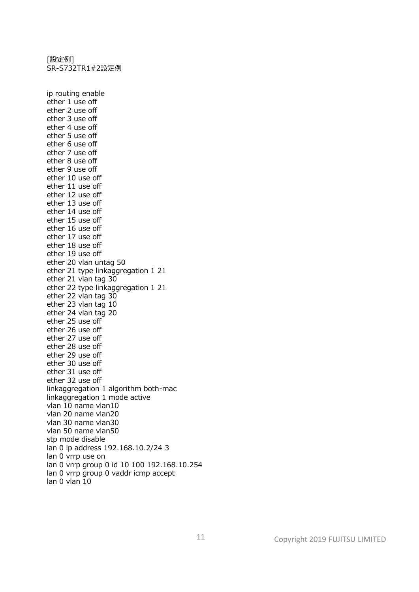[設定例] SR-S732TR1#2設定例

ip routing enable ether 1 use off ether 2 use off ether 3 use off ether 4 use off ether 5 use off ether 6 use off ether 7 use off ether 8 use off ether 9 use off ether 10 use off ether 11 use off ether 12 use off ether 13 use off ether 14 use off ether 15 use off ether 16 use off ether 17 use off ether 18 use off ether 19 use off ether 20 vlan untag 50 ether 21 type linkaggregation 1 21 ether 21 vlan tag 30 ether 22 type linkaggregation 1 21 ether 22 vlan tag 30 ether 23 vlan tag 10 ether 24 vlan tag 20 ether 25 use off ether 26 use off ether 27 use off ether 28 use off ether 29 use off ether 30 use off ether 31 use off ether 32 use off linkaggregation 1 algorithm both-mac linkaggregation 1 mode active vlan 10 name vlan10 vlan 20 name vlan20 vlan 30 name vlan30 vlan 50 name vlan50 stp mode disable lan 0 ip address 192.168.10.2/24 3 lan 0 vrrp use on lan 0 vrrp group 0 id 10 100 192.168.10.254 lan 0 vrrp group 0 vaddr icmp accept lan 0 vlan 10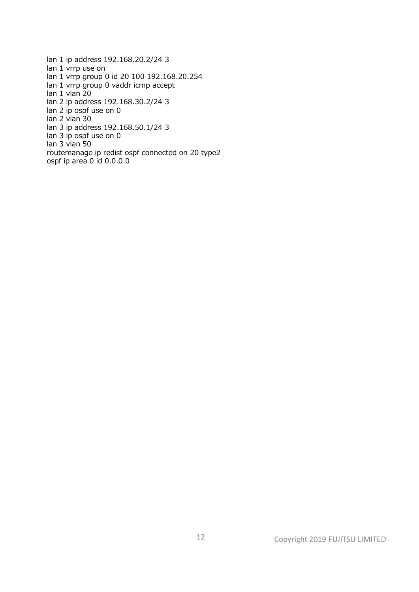lan 1 ip address 192.168.20.2/24 3 lan 1 vrrp use on lan 1 vrrp group 0 id 20 100 192.168.20.254 lan 1 vrrp group 0 vaddr icmp accept lan 1 vlan 20 lan 2 ip address 192.168.30.2/24 3 lan 2 ip ospf use on 0 lan 2 vlan 30 lan 3 ip address 192.168.50.1/24 3 lan 3 ip ospf use on 0 lan 3 vlan 50 routemanage ip redist ospf connected on 20 type2 ospf ip area 0 id 0.0.0.0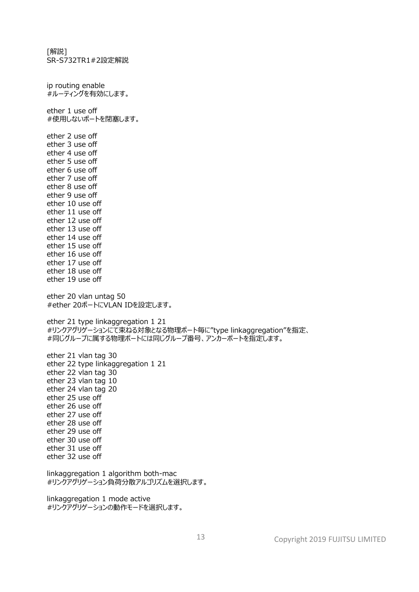[解説] SR-S732TR1#2設定解説 ip routing enable #ルーティングを有効にします。 ether 1 use off #使用しないポートを閉塞します。 ether 2 use off ether 3 use off ether 4 use off ether 5 use off ether 6 use off ether 7 use off ether 8 use off ether 9 use off ether 10 use off ether 11 use off ether 12 use off ether 13 use off ether 14 use off ether 15 use off ether 16 use off ether 17 use off ether 18 use off ether 19 use off ether 20 vlan untag 50 #ether 20ポートにVLAN IDを設定します。 ether 21 type linkaggregation 1 21 #リンクアグリゲーションにて束ねる対象となる物理ポート毎に"type linkaggregation"を指定、 #同じグループに属する物理ポートには同じグループ番号、アンカーポートを指定します。 ether 21 vlan tag 30 ether 22 type linkaggregation 1 21 ether 22 vlan tag 30 ether 23 vlan tag 10 ether 24 vlan tag 20 ether 25 use off ether 26 use off ether 27 use off ether 28 use off ether 29 use off ether 30 use off ether 31 use off ether 32 use off linkaggregation 1 algorithm both-mac #リンクアグリゲーション負荷分散アルゴリズムを選択します。 linkaggregation 1 mode active #リンクアグリゲーションの動作モードを選択します。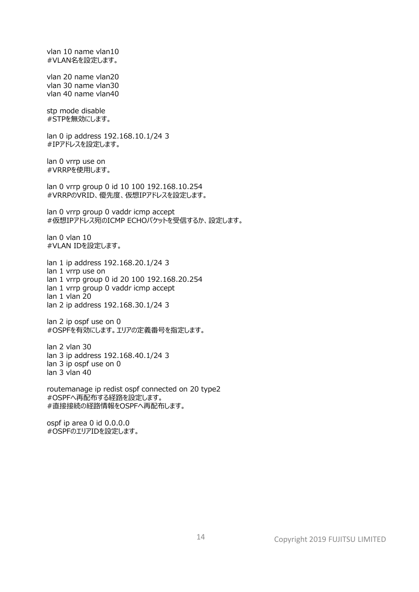#VLAN名を設定します。 vlan 20 name vlan20 vlan 30 name vlan30 vlan 40 name vlan40 stp mode disable #STPを無効にします。 lan 0 ip address 192.168.10.1/24 3 #IPアドレスを設定します。 lan 0 vrrp use on #VRRPを使用します。 lan 0 vrrp group 0 id 10 100 192.168.10.254 #VRRPのVRID、優先度、仮想IPアドレスを設定します。 lan 0 vrrp group 0 vaddr icmp accept #仮想IPアドレス宛のICMP ECHOパケットを受信するか、設定します。 lan 0 vlan 10 #VLAN IDを設定します。 lan 1 ip address 192.168.20.1/24 3 lan 1 vrrp use on lan 1 vrrp group 0 id 20 100 192.168.20.254 lan 1 vrrp group 0 vaddr icmp accept lan 1 vlan 20 lan 2 ip address 192.168.30.1/24 3 lan 2 ip ospf use on 0 #OSPFを有効にします。エリアの定義番号を指定します。 lan 2 vlan 30 lan 3 ip address 192.168.40.1/24 3 lan 3 ip ospf use on 0 lan 3 vlan 40 routemanage ip redist ospf connected on 20 type2 #OSPFへ再配布する経路を設定します。 #直接接続の経路情報をOSPFへ再配布します。 ospf ip area 0 id 0.0.0.0 #OSPFのエリアIDを設定します。

vlan 10 name vlan10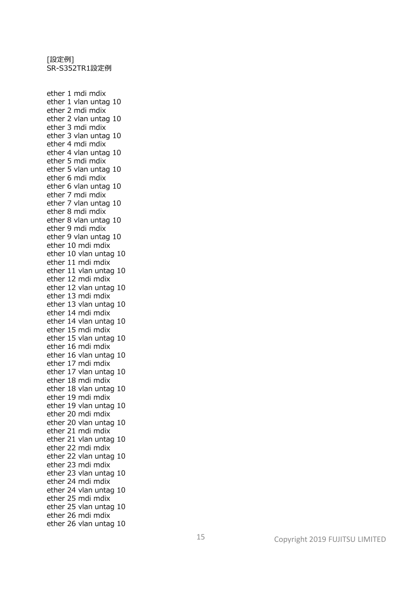ether 1 mdi mdix ether 1 vlan untag 10 ether 2 mdi mdix ether 2 vlan untag 10 ether 3 mdi mdix ether 3 vlan untag 10 ether 4 mdi mdix ether 4 vlan untag 10 ether 5 mdi mdix ether 5 vlan untag 10 ether 6 mdi mdix ether 6 vlan untag 10 ether 7 mdi mdix ether 7 vlan untag 10 ether 8 mdi mdix ether 8 vlan untag 10 ether 9 mdi mdix ether 9 vlan untag 10 ether 10 mdi mdix ether 10 vlan untag 10 ether 11 mdi mdix ether 11 vlan untag 10 ether 12 mdi mdix ether 12 vlan untag 10 ether 13 mdi mdix ether 13 vlan untag 10 ether 14 mdi mdix ether 14 vlan untag 10 ether 15 mdi mdix ether 15 vlan untag 10 ether 16 mdi mdix ether 16 vlan untag 10 ether 17 mdi mdix ether 17 vlan untag 10 ether 18 mdi mdix ether 18 vlan untag 10 ether 19 mdi mdix ether 19 vlan untag 10 ether 20 mdi mdix ether 20 vlan untag 10 ether 21 mdi mdix ether 21 vlan untag 10 ether 22 mdi mdix ether 22 vlan untag 10 ether 23 mdi mdix ether 23 vlan untag 10 ether 24 mdi mdix ether 24 vlan untag 10 ether 25 mdi mdix ether 25 vlan untag 10 ether 26 mdi mdix ether 26 vlan untag 10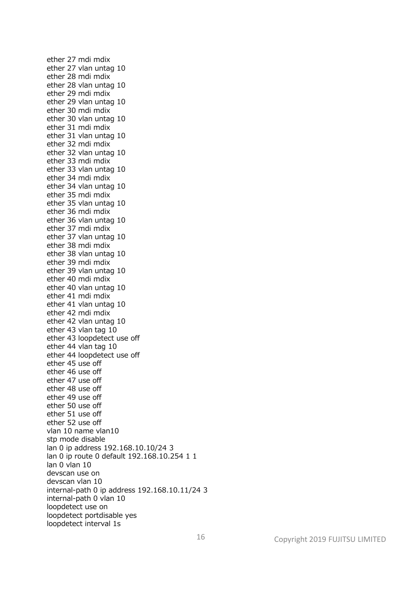ether 27 mdi mdix ether 27 vlan untag 10 ether 28 mdi mdix ether 28 vlan untag 10 ether 29 mdi mdix ether 29 vlan untag 10 ether 30 mdi mdix ether 30 vlan untag 10 ether 31 mdi mdix ether 31 vlan untag 10 ether 32 mdi mdix ether 32 vlan untag 10 ether 33 mdi mdix ether 33 vlan untag 10 ether 34 mdi mdix ether 34 vlan untag 10 ether 35 mdi mdix ether 35 vlan untag 10 ether 36 mdi mdix ether 36 vlan untag 10 ether 37 mdi mdix ether 37 vlan untag 10 ether 38 mdi mdix ether 38 vlan untag 10 ether 39 mdi mdix ether 39 vlan untag 10 ether 40 mdi mdix ether 40 vlan untag 10 ether 41 mdi mdix ether 41 vlan untag 10 ether 42 mdi mdix ether 42 vlan untag 10 ether 43 vlan tag 10 ether 43 loopdetect use off ether 44 vlan tag 10 ether 44 loopdetect use off ether 45 use off ether 46 use off ether 47 use off ether 48 use off ether 49 use off ether 50 use off ether 51 use off ether 52 use off vlan 10 name vlan10 stp mode disable lan 0 ip address 192.168.10.10/24 3 lan 0 ip route 0 default 192.168.10.254 1 1 lan 0 vlan 10 devscan use on devscan vlan 10 internal-path 0 ip address 192.168.10.11/24 3 internal-path 0 vlan 10 loopdetect use on loopdetect portdisable yes loopdetect interval 1s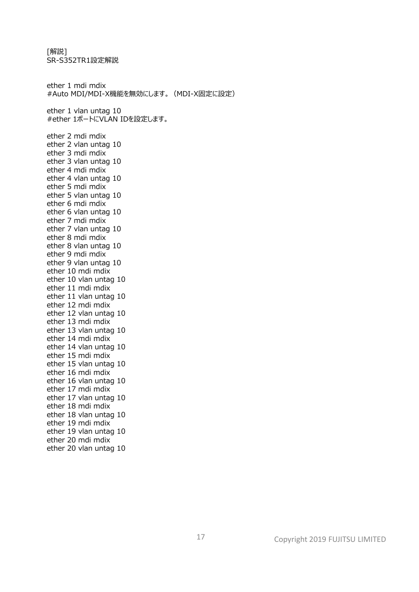SR-S352TR1設定解説 ether 1 mdi mdix #Auto MDI/MDI-X機能を無効にします。(MDI-X固定に設定) ether 1 vlan untag 10 #ether 1ポートにVLAN IDを設定します。 ether 2 mdi mdix ether 2 vlan untag 10 ether 3 mdi mdix ether 3 vlan untag 10 ether 4 mdi mdix ether 4 vlan untag 10 ether 5 mdi mdix ether 5 vlan untag 10 ether 6 mdi mdix ether 6 vlan untag 10 ether 7 mdi mdix ether 7 vlan untag 10 ether 8 mdi mdix ether 8 vlan untag 10 ether 9 mdi mdix ether 9 vlan untag 10 ether 10 mdi mdix ether 10 vlan untag 10 ether 11 mdi mdix ether 11 vlan untag 10 ether 12 mdi mdix ether 12 vlan untag 10 ether 13 mdi mdix ether 13 vlan untag 10 ether 14 mdi mdix ether 14 vlan untag 10 ether 15 mdi mdix ether 15 vlan untag 10 ether 16 mdi mdix ether 16 vlan untag 10 ether 17 mdi mdix ether 17 vlan untag 10 ether 18 mdi mdix ether 18 vlan untag 10 ether 19 mdi mdix ether 19 vlan untag 10

ether 20 mdi mdix ether 20 vlan untag 10

[解説]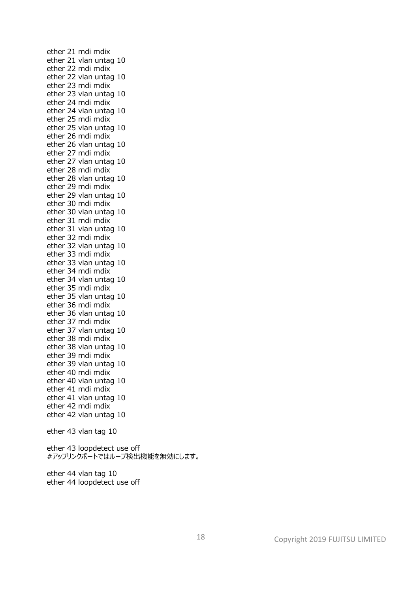ether 21 mdi mdix ether 21 vlan untag 10 ether 22 mdi mdix ether 22 vlan untag 10 ether 23 mdi mdix ether 23 vlan untag 10 ether 24 mdi mdix ether 24 vlan untag 10 ether 25 mdi mdix ether 25 vlan untag 10 ether 26 mdi mdix ether 26 vlan untag 10 ether 27 mdi mdix ether 27 vlan untag 10 ether 28 mdi mdix ether 28 vlan untag 10 ether 29 mdi mdix ether 29 vlan untag 10 ether 30 mdi mdix ether 30 vlan untag 10 ether 31 mdi mdix ether 31 vlan untag 10 ether 32 mdi mdix ether 32 vlan untag 10 ether 33 mdi mdix ether 33 vlan untag 10 ether 34 mdi mdix ether 34 vlan untag 10 ether 35 mdi mdix ether 35 vlan untag 10 ether 36 mdi mdix ether 36 vlan untag 10 ether 37 mdi mdix ether 37 vlan untag 10 ether 38 mdi mdix ether 38 vlan untag 10 ether 39 mdi mdix ether 39 vlan untag 10 ether 40 mdi mdix ether 40 vlan untag 10 ether 41 mdi mdix ether 41 vlan untag 10 ether 42 mdi mdix ether 42 vlan untag 10 ether 43 vlan tag 10 ether 43 loopdetect use off #アップリンクポートではループ検出機能を無効にします。 ether 44 vlan tag 10 ether 44 loopdetect use off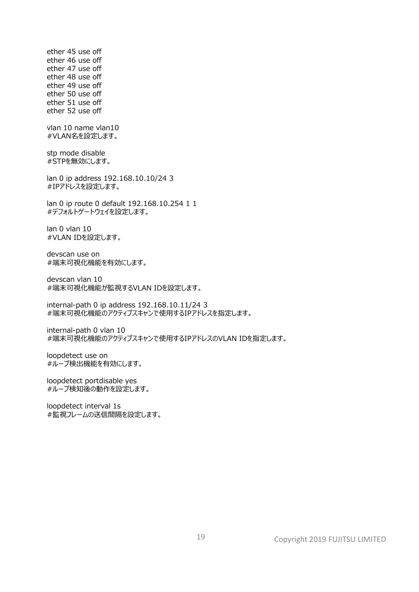ether 45 use off ether 46 use off ether 47 use off ether 48 use off ether 49 use off ether 50 use off ether 51 use off ether 52 use off vlan 10 name vlan10 #VLAN名を設定します。 stp mode disable #STPを無効にします。 lan 0 ip address 192.168.10.10/24 3 #IPアドレスを設定します。 lan 0 ip route 0 default 192.168.10.254 1 1 #デフォルトゲートウェイを設定します。 lan 0 vlan 10 #VLAN IDを設定します。 devscan use on #端末可視化機能を有効にします。 devscan vlan 10 #端末可視化機能が監視するVLAN IDを設定します。 internal-path 0 ip address 192.168.10.11/24 3 #端末可視化機能のアクティブスキャンで使用するIPアドレスを指定します。 internal-path 0 vlan 10 #端末可視化機能のアクティブスキャンで使用するIPアドレスのVLAN IDを指定します。 loopdetect use on #ループ検出機能を有効にします。 loopdetect portdisable yes #ループ検知後の動作を設定します。 loopdetect interval 1s #監視フレームの送信間隔を設定します。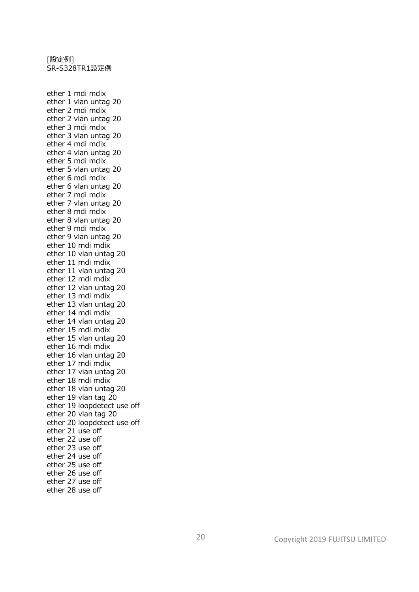ether 1 mdi mdix ether 1 vlan untag 20 ether 2 mdi mdix ether 2 vlan untag 20 ether 3 mdi mdix ether 3 vlan untag 20 ether 4 mdi mdix ether 4 vlan untag 20 ether 5 mdi mdix ether 5 vlan untag 20 ether 6 mdi mdix ether 6 vlan untag 20 ether 7 mdi mdix ether 7 vlan untag 20 ether 8 mdi mdix ether 8 vlan untag 20 ether 9 mdi mdix ether 9 vlan untag 20 ether 10 mdi mdix ether 10 vlan untag 20 ether 11 mdi mdix ether 11 vlan untag 20 ether 12 mdi mdix ether 12 vlan untag 20 ether 13 mdi mdix ether 13 vlan untag 20 ether 14 mdi mdix ether 14 vlan untag 20 ether 15 mdi mdix ether 15 vlan untag 20 ether 16 mdi mdix ether 16 vlan untag 20 ether 17 mdi mdix ether 17 vlan untag 20 ether 18 mdi mdix ether 18 vlan untag 20 ether 19 vlan tag 20 ether 19 loopdetect use off ether 20 vlan tag 20 ether 20 loopdetect use off ether 21 use off ether 22 use off ether 23 use off ether 24 use off ether 25 use off ether 26 use off ether 27 use off ether 28 use off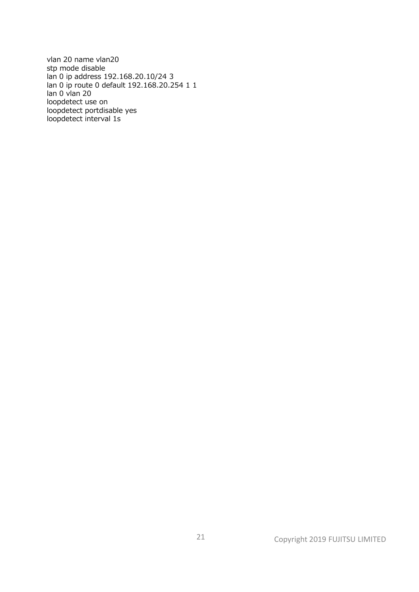vlan 20 name vlan20 stp mode disable lan 0 ip address 192.168.20.10/24 3 lan 0 ip route 0 default 192.168.20.254 1 1 lan 0 vlan 20 loopdetect use on loopdetect portdisable yes loopdetect interval 1s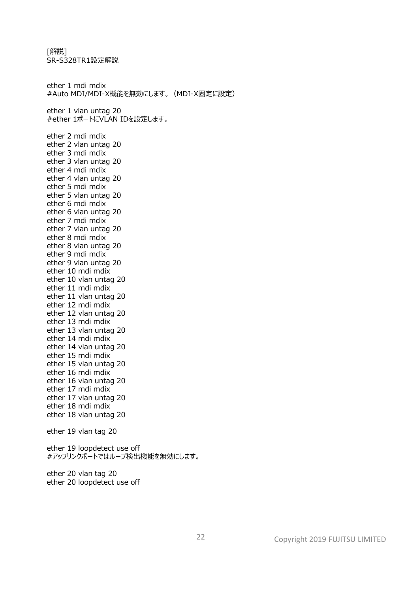[解説] SR-S328TR1設定解説 ether 1 mdi mdix #Auto MDI/MDI-X機能を無効にします。(MDI-X固定に設定) ether 1 vlan untag 20 #ether 1ポートにVLAN IDを設定します。 ether 2 mdi mdix ether 2 vlan untag 20 ether 3 mdi mdix ether 3 vlan untag 20 ether 4 mdi mdix ether 4 vlan untag 20 ether 5 mdi mdix ether 5 vlan untag 20 ether 6 mdi mdix ether 6 vlan untag 20 ether 7 mdi mdix ether 7 vlan untag 20 ether 8 mdi mdix ether 8 vlan untag 20 ether 9 mdi mdix ether 9 vlan untag 20 ether 10 mdi mdix ether 10 vlan untag 20 ether 11 mdi mdix ether 11 vlan untag 20 ether 12 mdi mdix ether 12 vlan untag 20 ether 13 mdi mdix ether 13 vlan untag 20 ether 14 mdi mdix ether 14 vlan untag 20 ether 15 mdi mdix ether 15 vlan untag 20 ether 16 mdi mdix ether 16 vlan untag 20 ether 17 mdi mdix ether 17 vlan untag 20 ether 18 mdi mdix ether 18 vlan untag 20 ether 19 vlan tag 20 ether 19 loopdetect use off #アップリンクポートではループ検出機能を無効にします。 ether 20 vlan tag 20 ether 20 loopdetect use off